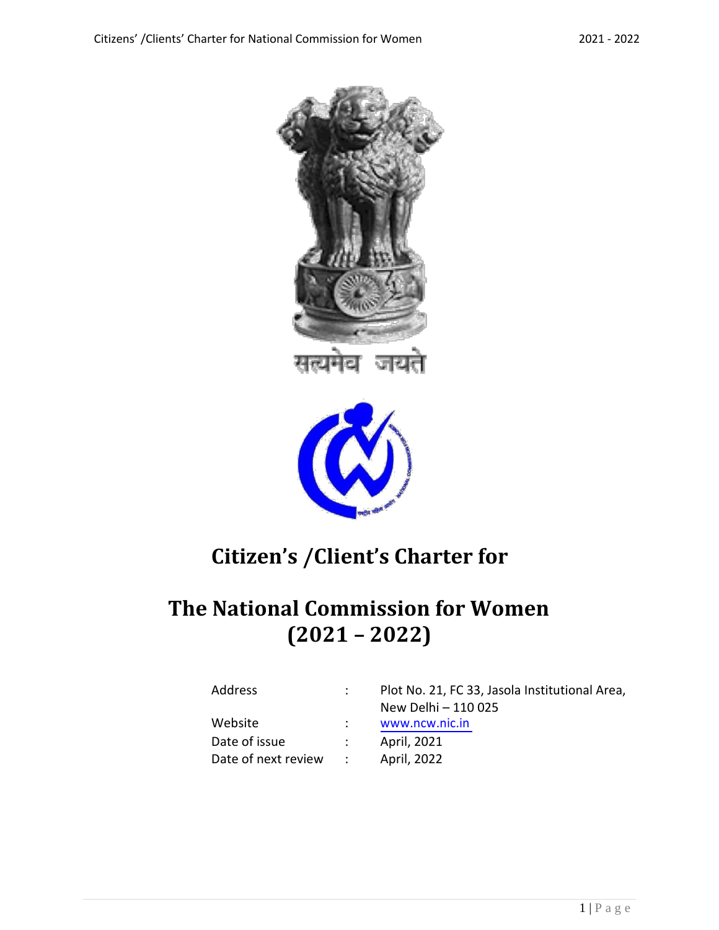



# **Citizen's /Client's Charter for**

## **The National Commission for Women (2021 – 2022)**

| Address             |               | Plot No. 21, FC 33, Jasola Institutional Area,<br>New Delhi - 110 025 |
|---------------------|---------------|-----------------------------------------------------------------------|
| Website             |               | www.ncw.nic.in                                                        |
| Date of issue       | $\mathcal{L}$ | April, 2021                                                           |
| Date of next review | $\sim 1000$   | April, 2022                                                           |
|                     |               |                                                                       |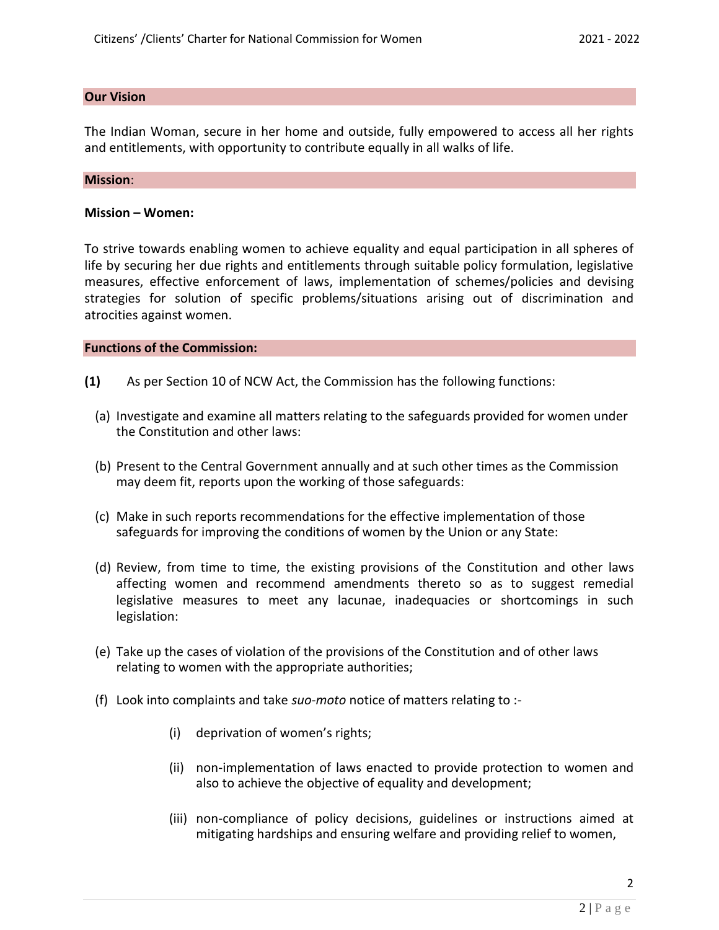## **Our Vision**

The Indian Woman, secure in her home and outside, fully empowered to access all her rights and entitlements, with opportunity to contribute equally in all walks of life.

#### **Mission**:

## **Mission – Women:**

To strive towards enabling women to achieve equality and equal participation in all spheres of life by securing her due rights and entitlements through suitable policy formulation, legislative measures, effective enforcement of laws, implementation of schemes/policies and devising strategies for solution of specific problems/situations arising out of discrimination and atrocities against women.

## **Functions of the Commission:**

- **(1)** As per Section 10 of NCW Act, the Commission has the following functions:
	- (a) Investigate and examine all matters relating to the safeguards provided for women under the Constitution and other laws:
	- (b) Present to the Central Government annually and at such other times as the Commission may deem fit, reports upon the working of those safeguards:
	- (c) Make in such reports recommendations for the effective implementation of those safeguards for improving the conditions of women by the Union or any State:
	- (d) Review, from time to time, the existing provisions of the Constitution and other laws affecting women and recommend amendments thereto so as to suggest remedial legislative measures to meet any lacunae, inadequacies or shortcomings in such legislation:
	- (e) Take up the cases of violation of the provisions of the Constitution and of other laws relating to women with the appropriate authorities;
	- (f) Look into complaints and take *suo-moto* notice of matters relating to :-
		- (i) deprivation of women's rights;
		- (ii) non-implementation of laws enacted to provide protection to women and also to achieve the objective of equality and development;
		- (iii) non-compliance of policy decisions, guidelines or instructions aimed at mitigating hardships and ensuring welfare and providing relief to women,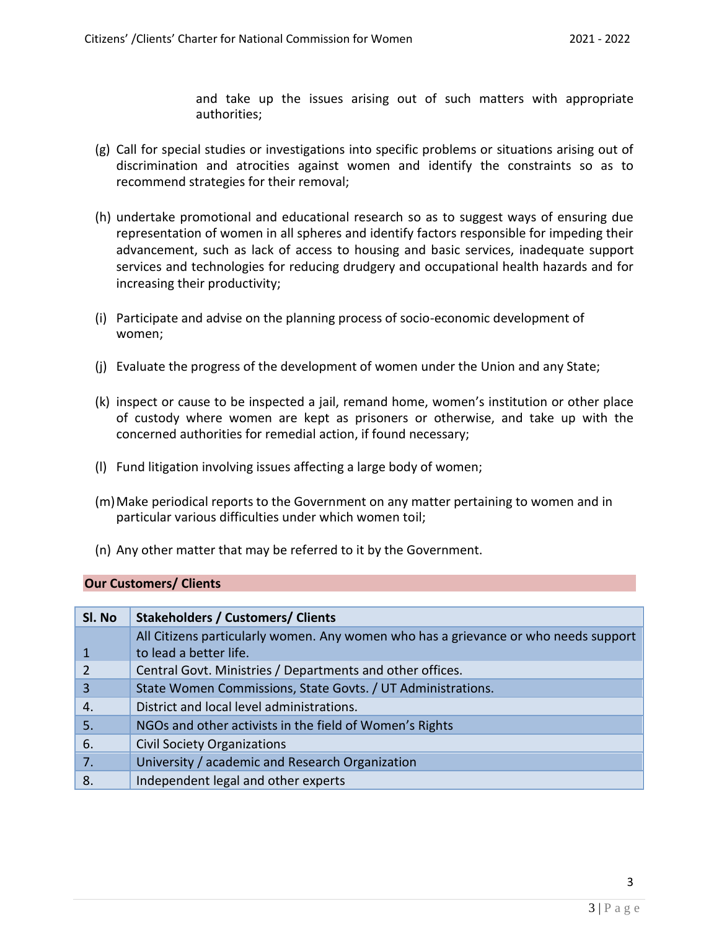and take up the issues arising out of such matters with appropriate authorities;

- (g) Call for special studies or investigations into specific problems or situations arising out of discrimination and atrocities against women and identify the constraints so as to recommend strategies for their removal;
- (h) undertake promotional and educational research so as to suggest ways of ensuring due representation of women in all spheres and identify factors responsible for impeding their advancement, such as lack of access to housing and basic services, inadequate support services and technologies for reducing drudgery and occupational health hazards and for increasing their productivity;
- (i) Participate and advise on the planning process of socio-economic development of women;
- (j) Evaluate the progress of the development of women under the Union and any State;
- (k) inspect or cause to be inspected a jail, remand home, women's institution or other place of custody where women are kept as prisoners or otherwise, and take up with the concerned authorities for remedial action, if found necessary;
- (l) Fund litigation involving issues affecting a large body of women;
- (m)Make periodical reports to the Government on any matter pertaining to women and in particular various difficulties under which women toil;
- (n) Any other matter that may be referred to it by the Government.

## **Our Customers/ Clients**

| SI. No | <b>Stakeholders / Customers/ Clients</b>                                            |
|--------|-------------------------------------------------------------------------------------|
|        | All Citizens particularly women. Any women who has a grievance or who needs support |
|        | to lead a better life.                                                              |
|        | Central Govt. Ministries / Departments and other offices.                           |
| 3      | State Women Commissions, State Govts. / UT Administrations.                         |
| 4.     | District and local level administrations.                                           |
| 5.     | NGOs and other activists in the field of Women's Rights                             |
| 6.     | <b>Civil Society Organizations</b>                                                  |
| 7.     | University / academic and Research Organization                                     |
| 8.     | Independent legal and other experts                                                 |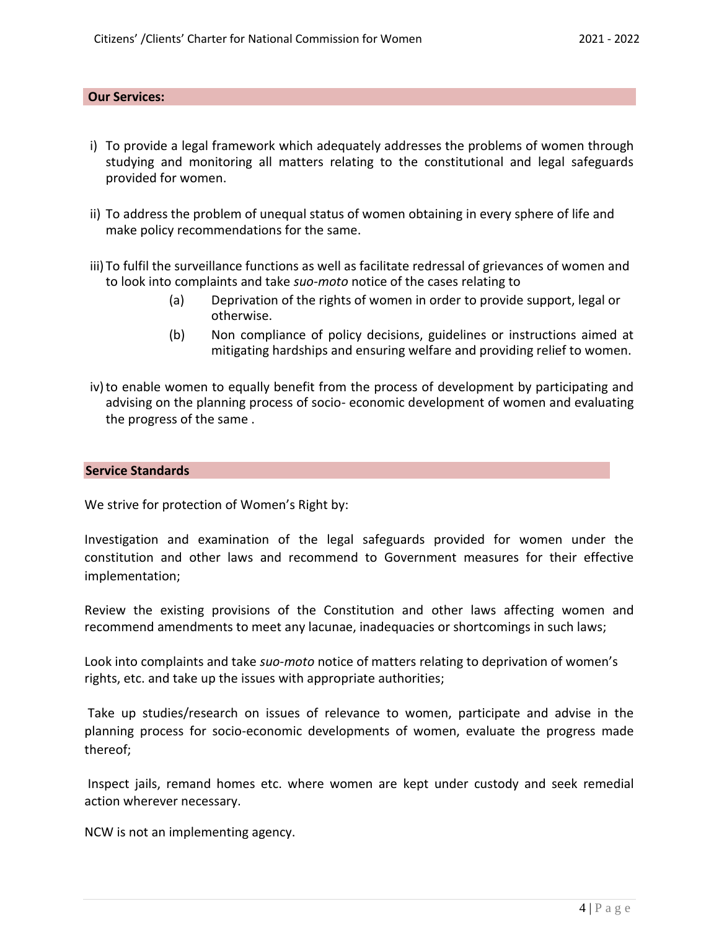## **Our Services:**

- i) To provide a legal framework which adequately addresses the problems of women through studying and monitoring all matters relating to the constitutional and legal safeguards provided for women.
- ii) To address the problem of unequal status of women obtaining in every sphere of life and make policy recommendations for the same.
- iii) To fulfil the surveillance functions as well as facilitate redressal of grievances of women and to look into complaints and take *suo-moto* notice of the cases relating to
	- (a) Deprivation of the rights of women in order to provide support, legal or otherwise.
	- (b) Non compliance of policy decisions, guidelines or instructions aimed at mitigating hardships and ensuring welfare and providing relief to women.
- iv)to enable women to equally benefit from the process of development by participating and advising on the planning process of socio- economic development of women and evaluating the progress of the same .

#### **Service Standards**

We strive for protection of Women's Right by:

Investigation and examination of the legal safeguards provided for women under the constitution and other laws and recommend to Government measures for their effective implementation;

Review the existing provisions of the Constitution and other laws affecting women and recommend amendments to meet any lacunae, inadequacies or shortcomings in such laws;

Look into complaints and take *suo-moto* notice of matters relating to deprivation of women's rights, etc. and take up the issues with appropriate authorities;

Take up studies/research on issues of relevance to women, participate and advise in the planning process for socio-economic developments of women, evaluate the progress made thereof;

Inspect jails, remand homes etc. where women are kept under custody and seek remedial action wherever necessary.

NCW is not an implementing agency.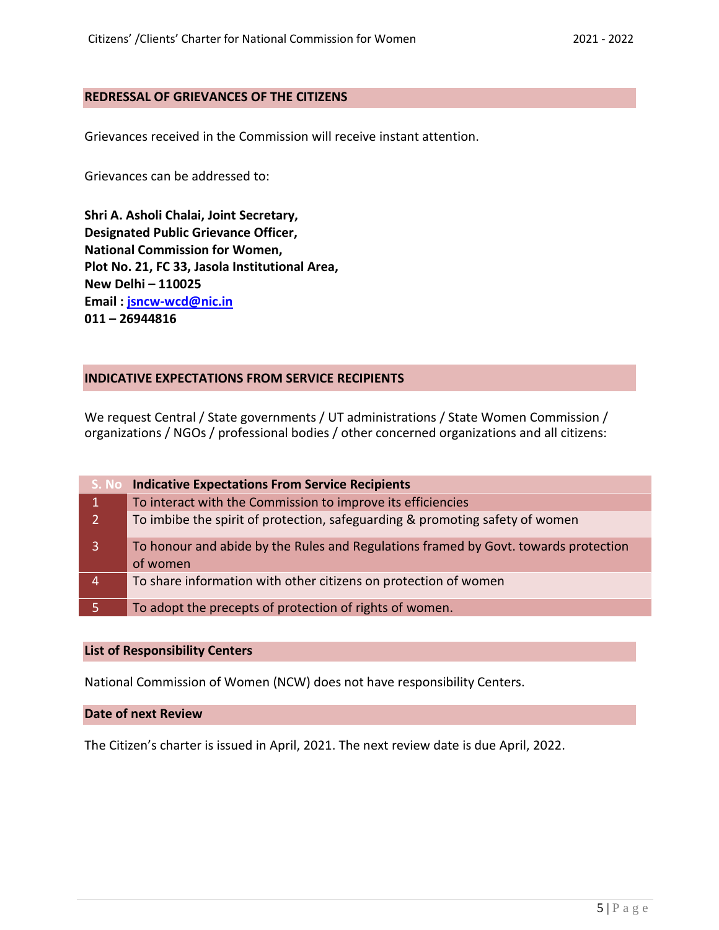## **REDRESSAL OF GRIEVANCES OF THE CITIZENS**

Grievances received in the Commission will receive instant attention.

Grievances can be addressed to:

**Shri A. Asholi Chalai, Joint Secretary, Designated Public Grievance Officer, National Commission for Women, Plot No. 21, FC 33, Jasola Institutional Area, New Delhi – 110025 Email : [jsncw-wcd@nic.in](mailto:jsncw-wcd@nic.in) 011 – 26944816**

## **INDICATIVE EXPECTATIONS FROM SERVICE RECIPIENTS**

We request Central / State governments / UT administrations / State Women Commission / organizations / NGOs / professional bodies / other concerned organizations and all citizens:

| S. No          | <b>Indicative Expectations From Service Recipients</b>                                          |
|----------------|-------------------------------------------------------------------------------------------------|
|                | To interact with the Commission to improve its efficiencies                                     |
| 2 <sup>1</sup> | To imbibe the spirit of protection, safeguarding & promoting safety of women                    |
| 3              | To honour and abide by the Rules and Regulations framed by Govt. towards protection<br>of women |
| 4              | To share information with other citizens on protection of women                                 |
|                | To adopt the precepts of protection of rights of women.                                         |

#### **List of Responsibility Centers**

National Commission of Women (NCW) does not have responsibility Centers.

**Date of next Review**

The Citizen's charter is issued in April, 2021. The next review date is due April, 2022.